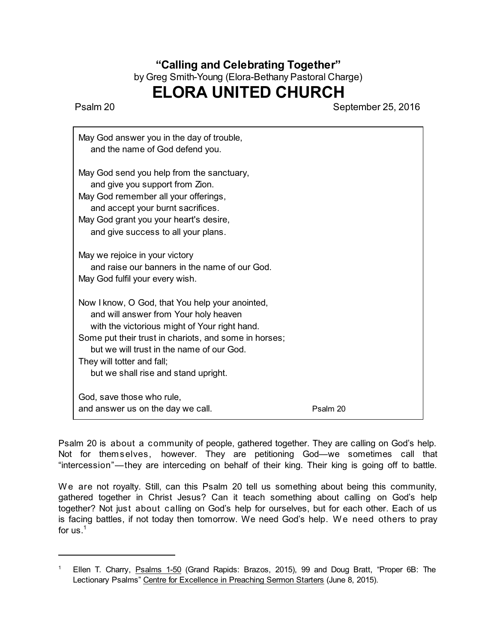## **"Calling and Celebrating Together"** by Greg Smith-Young (Elora-Bethany Pastoral Charge)

## **ELORA UNITED CHURCH**

Psalm 20 September 25, 2016

| May God answer you in the day of trouble,<br>and the name of God defend you.                                                                                                                                                                                                                                          |          |
|-----------------------------------------------------------------------------------------------------------------------------------------------------------------------------------------------------------------------------------------------------------------------------------------------------------------------|----------|
| May God send you help from the sanctuary,<br>and give you support from Zion.<br>May God remember all your offerings,<br>and accept your burnt sacrifices.<br>May God grant you your heart's desire,<br>and give success to all your plans.                                                                            |          |
| May we rejoice in your victory<br>and raise our banners in the name of our God.<br>May God fulfil your every wish.                                                                                                                                                                                                    |          |
| Now I know, O God, that You help your anointed,<br>and will answer from Your holy heaven<br>with the victorious might of Your right hand.<br>Some put their trust in chariots, and some in horses;<br>but we will trust in the name of our God.<br>They will totter and fall;<br>but we shall rise and stand upright. |          |
| God, save those who rule,<br>and answer us on the day we call.                                                                                                                                                                                                                                                        | Psalm 20 |

Psalm 20 is about a community of people, gathered together. They are calling on God's help. Not for themselves, however. They are petitioning God—we sometimes call that "intercession"—they are interceding on behalf of their king. Their king is going off to battle.

We are not royalty. Still, can this Psalm 20 tell us something about being this community, gathered together in Christ Jesus? Can it teach something about calling on God's help together? Not just about calling on God's help for ourselves, but for each other. Each of us is facing battles, if not today then tomorrow. We need God's help. We need others to pray for us. $^1$ 

Ellen T. Charry, Psalms 1-50 (Grand Rapids: Brazos, 2015), 99 and Doug Bratt, "Proper 6B: The Lectionary Psalms" Centre for Excellence in Preaching Sermon Starters (June 8, 2015).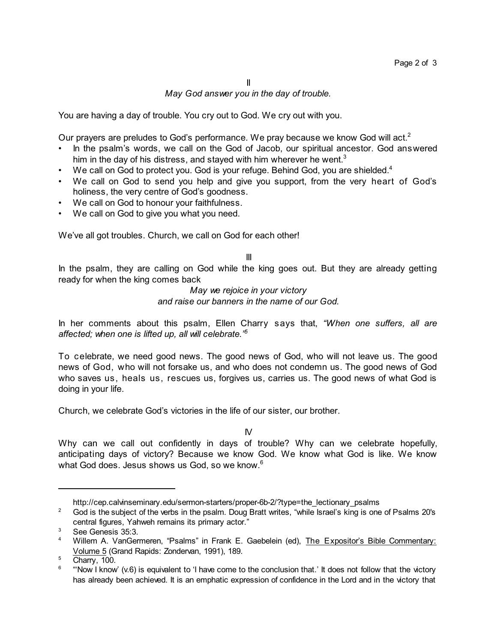## *May God answer you in the day of trouble.*

You are having a day of trouble. You cry out to God. We cry out with you.

Our prayers are preludes to God's performance. We pray because we know God will act.<sup>2</sup>

- In the psalm's words, we call on the God of Jacob, our spiritual ancestor. God answered him in the day of his distress, and stayed with him wherever he went. $^3$
- We call on God to protect you. God is your refuge. Behind God, you are shielded. $4$
- We call on God to send you help and give you support, from the very heart of God's holiness, the very centre of God's goodness.
- We call on God to honour your faithfulness.
- We call on God to give you what you need.

We've all got troubles. Church, we call on God for each other!

## III

In the psalm, they are calling on God while the king goes out. But they are already getting ready for when the king comes back

> *May we rejoice in your victory and raise our banners in the name of our God.*

In her comments about this psalm, Ellen Charry says that, *"When one suffers, all are affected; when one is lifted up, all will celebrate." 5*

To celebrate, we need good news. The good news of God, who will not leave us. The good news of God, who will not forsake us, and who does not condemn us. The good news of God who saves us, heals us, rescues us, forgives us, carries us. The good news of what God is doing in your life.

Church, we celebrate God's victories in the life of our sister, our brother.

IV

Why can we call out confidently in days of trouble? Why can we celebrate hopefully, anticipating days of victory? Because we know God. We know what God is like. We know what God does. Jesus shows us God, so we know. $^6$ 

http://cep.calvinseminary.edu/sermon-starters/proper-6b-2/?type=the\_lectionary\_psalms

<sup>&</sup>lt;sup>2</sup> God is the subject of the verbs in the psalm. Doug Bratt writes, "while Israel's king is one of Psalms 20's central figures, Yahweh remains its primary actor."

 $3^3$  See Genesis 35:3.

<sup>4</sup> Willem A. VanGermeren, "Psalms" in Frank E. Gaebelein (ed), The Expositor's Bible Commentary: Volume 5 (Grand Rapids: Zondervan, 1991), 189.

 $5$  Charry, 100.

<sup>6</sup> "'Now I know' (v.6) is equivalent to 'I have come to the conclusion that.' It does not follow that the victory has already been achieved. It is an emphatic expression of confidence in the Lord and in the victory that